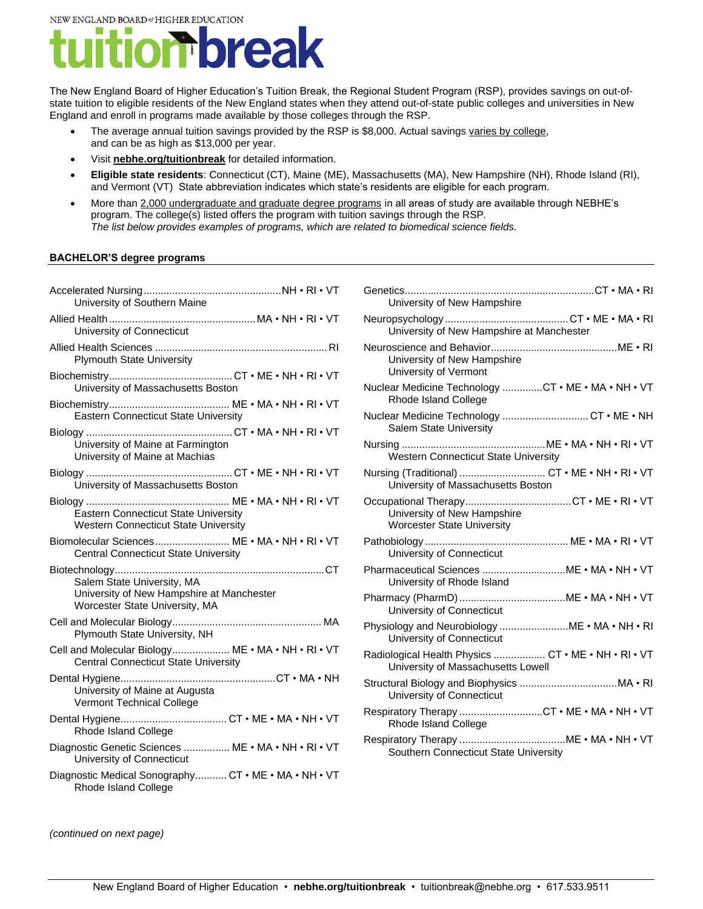NEW ENGLAND BOARD of HIGHER EDUCATION

## break  $\boldsymbol{\Pi}$

The New England Board of Higher Education's Tuition Break, the Regional Student Program (RSP), provides savings on out-ofstate tuition to eligible residents of the New England states when they attend out-of-state public colleges and universities in New England and enroll in programs made available by those colleges through the RSP.

- The average annual tuition savings provided by the RSP is \$8,000. Actual saving[s varies by college,](https://nebhe.org/info/pdf/tuitionbreak/2020-21/2020-21_RSP_TuitionBreak_TuitionRates-UNDERGRAD&GRAD.pdf) and can be as high as \$13,000 per year.
- Visit **[nebhe.org/tuitionbreak](https://nebhe.org/tuitionbreak/)** for detailed information.
- **Eligible state residents**: Connecticut (CT), Maine (ME), Massachusetts (MA), New Hampshire (NH), Rhode Island (RI), and Vermont (VT) State abbreviation indicates which state's residents are eligible for each program.
- More than [2,000 undergraduate and graduate degree programs](https://nebhe.org/tuitionbreak/find-a-program/) in all areas of study are available through NEBHE's program. The college(s) listed offers the program with tuition savings through the RSP*. The list below provides examples of programs, which are related to biomedical science fields.*

#### **BACHELOR'S degree programs**

| University of Southern Maine                                                                              |  |
|-----------------------------------------------------------------------------------------------------------|--|
| University of Connecticut                                                                                 |  |
| <b>Plymouth State University</b>                                                                          |  |
| University of Massachusetts Boston                                                                        |  |
| <b>Eastern Connecticut State University</b>                                                               |  |
| University of Maine at Farmington<br>University of Maine at Machias                                       |  |
| University of Massachusetts Boston                                                                        |  |
| <b>Eastern Connecticut State University</b><br><b>Western Connecticut State University</b>                |  |
| Biomolecular Sciences ME . MA . NH . RI . VT<br><b>Central Connecticut State University</b>               |  |
| Salem State University, MA<br>University of New Hampshire at Manchester<br>Worcester State University, MA |  |
| Plymouth State University, NH                                                                             |  |
| Cell and Molecular Biology ME . MA . NH . RI . VT<br><b>Central Connecticut State University</b>          |  |
| University of Maine at Augusta<br><b>Vermont Technical College</b>                                        |  |
| Rhode Island College                                                                                      |  |
| Diagnostic Genetic Sciences  ME . MA . NH . RI . VT<br>University of Connecticut                          |  |
| Diagnostic Medical Sonography CT . ME . MA . NH . VT<br>Rhode Island College                              |  |

| University of New Hampshire                                                               |
|-------------------------------------------------------------------------------------------|
| University of New Hampshire at Manchester                                                 |
| University of New Hampshire<br>University of Vermont                                      |
| Nuclear Medicine Technology CT . ME . MA . NH . VT<br>Rhode Island College                |
| Nuclear Medicine Technology  CT . ME . NH<br><b>Salem State University</b>                |
| <b>Western Connecticut State University</b>                                               |
| Nursing (Traditional)  CT . ME . NH . RI . VT<br>University of Massachusetts Boston       |
| University of New Hampshire<br><b>Worcester State University</b>                          |
| University of Connecticut                                                                 |
| Pharmaceutical Sciences  ME . MA . NH . VT<br>University of Rhode Island                  |
| University of Connecticut                                                                 |
| Physiology and Neurobiology  ME . MA . NH . RI<br>University of Connecticut               |
| Radiological Health Physics  CT . ME . NH . RI . VT<br>University of Massachusetts Lowell |
| University of Connecticut                                                                 |
| Respiratory Therapy CT . ME . MA . NH . VT<br>Rhode Island College                        |
| Southern Connecticut State University                                                     |

*(continued on next page)*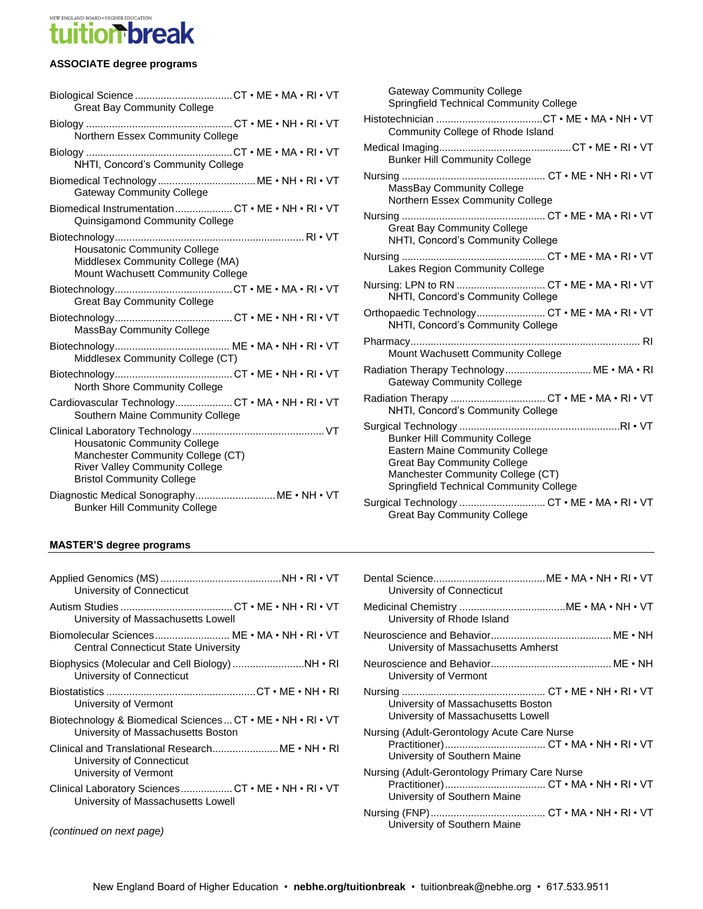## NEW ENGLAND BOARD \* HIGHER EDUCATION **tion brea**

#### **ASSOCIATE degree programs**

| <b>Great Bay Community College</b>                                                                                                                    |
|-------------------------------------------------------------------------------------------------------------------------------------------------------|
| Northern Essex Community College                                                                                                                      |
| NHTI, Concord's Community College                                                                                                                     |
| Biomedical Technology  ME . NH . RI . VT<br><b>Gateway Community College</b>                                                                          |
| Biomedical InstrumentationCT . ME . NH . RI . VT<br>Quinsigamond Community College                                                                    |
| <b>Housatonic Community College</b><br>Middlesex Community College (MA)<br>Mount Wachusett Community College                                          |
| <b>Great Bay Community College</b>                                                                                                                    |
| MassBay Community College                                                                                                                             |
| Middlesex Community College (CT)                                                                                                                      |
| North Shore Community College                                                                                                                         |
| Cardiovascular TechnologyCT . MA . NH . RI . VT<br>Southern Maine Community College                                                                   |
| <b>Housatonic Community College</b><br>Manchester Community College (CT)<br><b>River Valley Community College</b><br><b>Bristol Community College</b> |
| <b>Bunker Hill Community College</b>                                                                                                                  |

Gateway Community College Springfield Technical Community College Histotechnician .....................................CT • ME • MA • NH • VT Community College of Rhode Island Medical Imaging..............................................CT • ME • RI • VT Bunker Hill Community College Nursing .................................................. CT • ME • NH • RI • VT MassBay Community College Northern Essex Community College Nursing .................................................. CT • ME • MA • RI • VT Great Bay Community College NHTI, Concord's Community College Nursing .................................................. CT • ME • MA • RI • VT Lakes Region Community College Nursing: LPN to RN ............................... CT • ME • MA • RI • VT NHTI, Concord's Community College Orthopaedic Technology........................... CT . ME . MA . RI . VT NHTI, Concord's Community College Pharmacy................................................................................ RI Mount Wachusett Community College Radiation Therapy Technology............................... ME . MA . RI Gateway Community College Radiation Therapy ................................... CT . ME . MA . RI . VT NHTI, Concord's Community College Surgical Technology ........................................................RI • VT Bunker Hill Community College Eastern Maine Community College Great Bay Community College Manchester Community College (CT) Springfield Technical Community College Surgical Technology ................................ CT . ME . MA . RI . VT

#### **MASTER'S degree programs**

| University of Connecticut                                                                              |
|--------------------------------------------------------------------------------------------------------|
| University of Massachusetts Lowell                                                                     |
| Biomolecular Sciences ME • MA • NH • RI • VT<br><b>Central Connecticut State University</b>            |
| University of Connecticut                                                                              |
| University of Vermont                                                                                  |
| Biotechnology & Biomedical Sciences  CT . ME . NH . RI . VT<br>University of Massachusetts Boston      |
| Clinical and Translational Research ME • NH • RI<br>University of Connecticut<br>University of Vermont |
| Clinical Laboratory Sciences CT . ME . NH . RI . VT<br>University of Massachusetts Lowell              |
|                                                                                                        |

| University of Connecticut                                                     |
|-------------------------------------------------------------------------------|
| University of Rhode Island                                                    |
| University of Massachusetts Amherst                                           |
| University of Vermont                                                         |
| University of Massachusetts Boston<br>University of Massachusetts Lowell      |
| Nursing (Adult-Gerontology Acute Care Nurse<br>University of Southern Maine   |
| Nursing (Adult-Gerontology Primary Care Nurse<br>University of Southern Maine |
| University of Southern Maine                                                  |

Great Bay Community College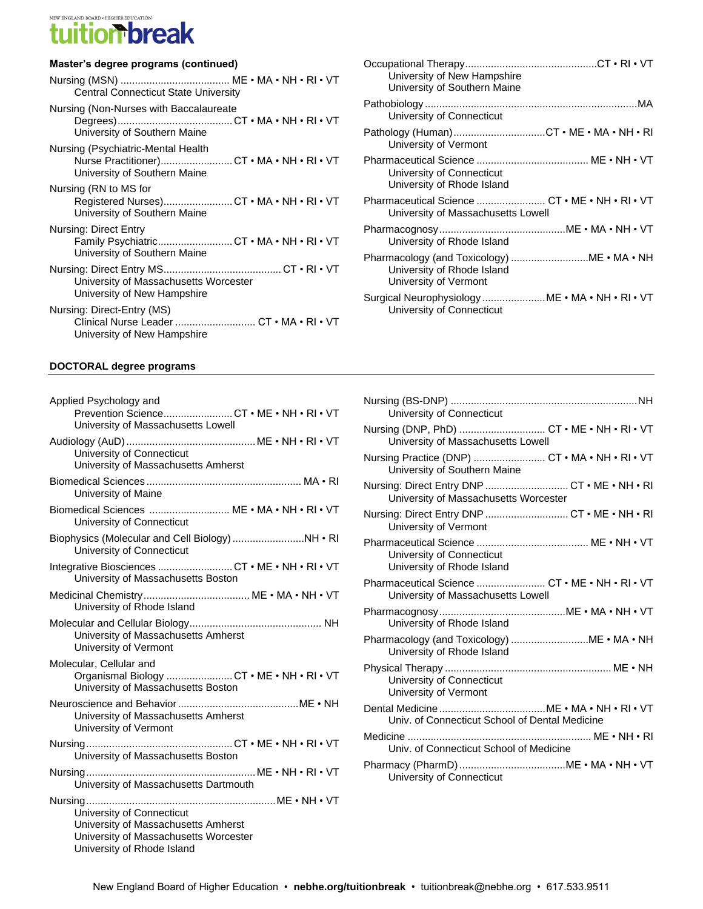# tuition best and construction

#### **Master's degree programs (continued)**

| <b>Central Connecticut State University</b>                                                                     |  |
|-----------------------------------------------------------------------------------------------------------------|--|
| Nursing (Non-Nurses with Baccalaureate<br>University of Southern Maine                                          |  |
| Nursing (Psychiatric-Mental Health<br>Nurse Practitioner)CT . MA . NH . RI . VT<br>University of Southern Maine |  |
| Nursing (RN to MS for<br>Registered Nurses)CT . MA . NH . RI . VT<br>University of Southern Maine               |  |
| Nursing: Direct Entry<br>Family PsychiatricCT . MA . NH . RI . VT<br>University of Southern Maine               |  |
| University of Massachusetts Worcester<br>University of New Hampshire                                            |  |
| Nursing: Direct-Entry (MS)<br>Clinical Nurse Leader  CT • MA • RI • VT<br>University of New Hampshire           |  |

| University of New Hampshire<br>University of Southern Maine                                       |
|---------------------------------------------------------------------------------------------------|
| University of Connecticut                                                                         |
| Pathology (Human)CT . ME . MA . NH . RI<br>University of Vermont                                  |
| University of Connecticut<br>University of Rhode Island                                           |
| Pharmaceutical Science  CT . ME . NH . RI . VT<br>University of Massachusetts Lowell              |
| University of Rhode Island                                                                        |
| Pharmacology (and Toxicology) ME . MA . NH<br>University of Rhode Island<br>University of Vermont |
| Surgical Neurophysiology  ME . MA . NH . RI . VT<br>University of Connecticut                     |

#### **DOCTORAL degree programs**

| Applied Psychology and                                                                                                                  |
|-----------------------------------------------------------------------------------------------------------------------------------------|
| Prevention ScienceCT . ME . NH . RI . VT<br>University of Massachusetts Lowell                                                          |
| University of Connecticut<br>University of Massachusetts Amherst                                                                        |
| University of Maine                                                                                                                     |
| Biomedical Sciences  ME . MA . NH . RI . VT<br>University of Connecticut                                                                |
| Biophysics (Molecular and Cell Biology) NH . RI<br>University of Connecticut                                                            |
| Integrative Biosciences CT . ME . NH . RI . VT<br>University of Massachusetts Boston                                                    |
| University of Rhode Island                                                                                                              |
| University of Massachusetts Amherst<br>University of Vermont                                                                            |
| Molecular, Cellular and<br>Organismal Biology CT . ME . NH . RI . VT<br>University of Massachusetts Boston                              |
| University of Massachusetts Amherst<br>University of Vermont                                                                            |
| University of Massachusetts Boston                                                                                                      |
| University of Massachusetts Dartmouth                                                                                                   |
| University of Connecticut<br>University of Massachusetts Amherst<br>University of Massachusetts Worcester<br>University of Rhode Island |

| University of Connecticut                                                             |
|---------------------------------------------------------------------------------------|
| Nursing (DNP, PhD)  CT . ME . NH . RI . VT<br>University of Massachusetts Lowell      |
| Nursing Practice (DNP)  CT . MA . NH . RI . VT<br>University of Southern Maine        |
| Nursing: Direct Entry DNP  CT · ME · NH · RI<br>University of Massachusetts Worcester |
| Nursing: Direct Entry DNP  CT . ME . NH . RI<br>University of Vermont                 |
| University of Connecticut<br>University of Rhode Island                               |
| Pharmaceutical Science  CT . ME . NH . RI . VT<br>University of Massachusetts Lowell  |
| University of Rhode Island                                                            |
| University of Rhode Island                                                            |
| University of Connecticut<br>University of Vermont                                    |
| Univ. of Connecticut School of Dental Medicine                                        |
| Univ. of Connecticut School of Medicine                                               |
| University of Connecticut                                                             |